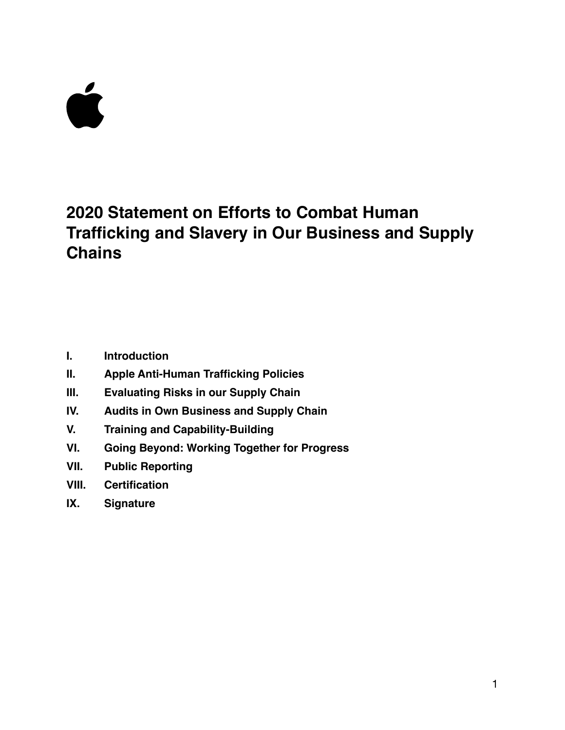# Ć

# **2020 Statement on Efforts to Combat Human Trafficking and Slavery in Our Business and Supply Chains**

- **I. Introduction**
- **II. Apple Anti-Human Trafficking Policies**
- **III. Evaluating Risks in our Supply Chain**
- **IV. Audits in Own Business and Supply Chain**
- **V. Training and Capability-Building**
- **VI. Going Beyond: Working Together for Progress**
- **VII. Public Reporting**
- **VIII. Certification**
- **IX. Signature**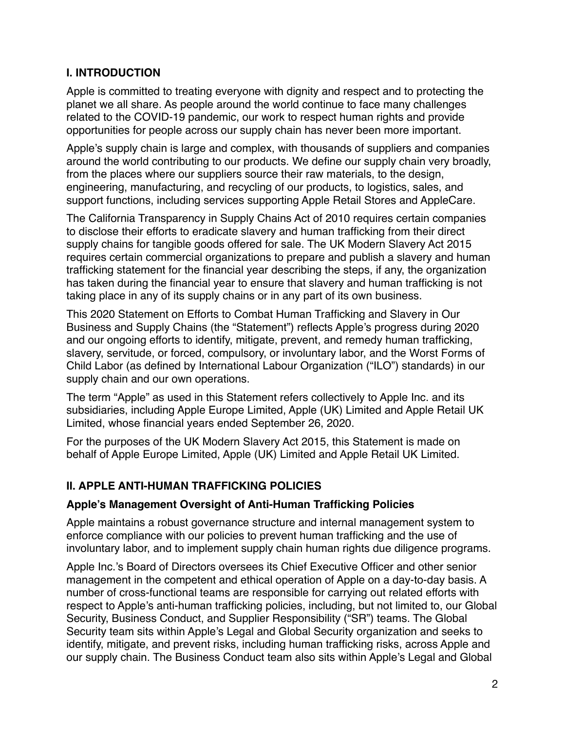# **I. INTRODUCTION**

Apple is committed to treating everyone with dignity and respect and to protecting the planet we all share. As people around the world continue to face many challenges related to the COVID-19 pandemic, our work to respect human rights and provide opportunities for people across our supply chain has never been more important.

Apple's supply chain is large and complex, with thousands of suppliers and companies around the world contributing to our products. We define our supply chain very broadly, from the places where our suppliers source their raw materials, to the design, engineering, manufacturing, and recycling of our products, to logistics, sales, and support functions, including services supporting Apple Retail Stores and AppleCare.

The California Transparency in Supply Chains Act of 2010 requires certain companies to disclose their efforts to eradicate slavery and human trafficking from their direct supply chains for tangible goods offered for sale. The UK Modern Slavery Act 2015 requires certain commercial organizations to prepare and publish a slavery and human trafficking statement for the financial year describing the steps, if any, the organization has taken during the financial year to ensure that slavery and human trafficking is not taking place in any of its supply chains or in any part of its own business.

This 2020 Statement on Efforts to Combat Human Trafficking and Slavery in Our Business and Supply Chains (the "Statement") reflects Apple's progress during 2020 and our ongoing efforts to identify, mitigate, prevent, and remedy human trafficking, slavery, servitude, or forced, compulsory, or involuntary labor, and the Worst Forms of Child Labor (as defined by International Labour Organization ("ILO") standards) in our supply chain and our own operations.

The term "Apple" as used in this Statement refers collectively to Apple Inc. and its subsidiaries, including Apple Europe Limited, Apple (UK) Limited and Apple Retail UK Limited, whose financial years ended September 26, 2020.

For the purposes of the UK Modern Slavery Act 2015, this Statement is made on behalf of Apple Europe Limited, Apple (UK) Limited and Apple Retail UK Limited.

# **II. APPLE ANTI-HUMAN TRAFFICKING POLICIES**

# **Apple's Management Oversight of Anti-Human Trafficking Policies**

Apple maintains a robust governance structure and internal management system to enforce compliance with our policies to prevent human trafficking and the use of involuntary labor, and to implement supply chain human rights due diligence programs.

Apple Inc.'s Board of Directors oversees its Chief Executive Officer and other senior management in the competent and ethical operation of Apple on a day-to-day basis. A number of cross-functional teams are responsible for carrying out related efforts with respect to Apple's anti-human trafficking policies, including, but not limited to, our Global Security, Business Conduct, and Supplier Responsibility ("SR") teams. The Global Security team sits within Apple's Legal and Global Security organization and seeks to identify, mitigate, and prevent risks, including human trafficking risks, across Apple and our supply chain. The Business Conduct team also sits within Apple's Legal and Global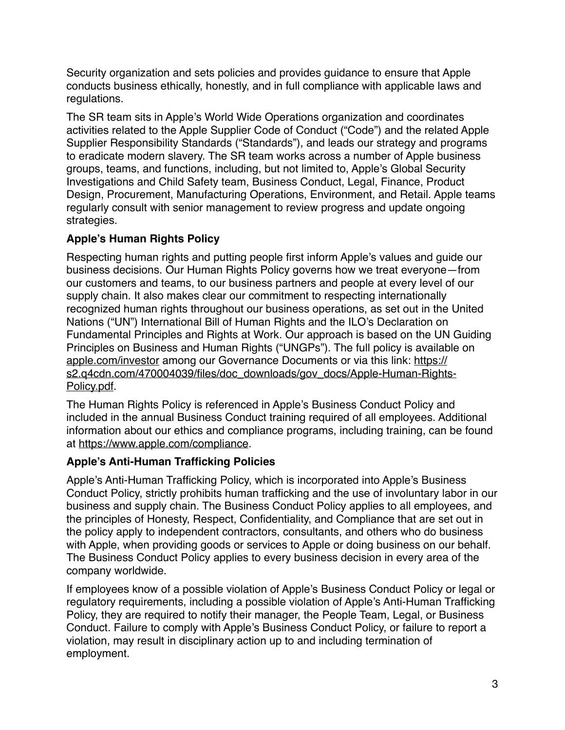Security organization and sets policies and provides guidance to ensure that Apple conducts business ethically, honestly, and in full compliance with applicable laws and regulations.

The SR team sits in Apple's World Wide Operations organization and coordinates activities related to the Apple Supplier Code of Conduct ("Code") and the related Apple Supplier Responsibility Standards ("Standards"), and leads our strategy and programs to eradicate modern slavery. The SR team works across a number of Apple business groups, teams, and functions, including, but not limited to, Apple's Global Security Investigations and Child Safety team, Business Conduct, Legal, Finance, Product Design, Procurement, Manufacturing Operations, Environment, and Retail. Apple teams regularly consult with senior management to review progress and update ongoing strategies.

# **Apple's Human Rights Policy**

Respecting human rights and putting people first inform Apple's values and guide our business decisions. Our Human Rights Policy governs how we treat everyone—from our customers and teams, to our business partners and people at every level of our supply chain. It also makes clear our commitment to respecting internationally recognized human rights throughout our business operations, as set out in the United Nations ("UN") International Bill of Human Rights and the ILO's Declaration on Fundamental Principles and Rights at Work. Our approach is based on the UN Guiding Principles on Business and Human Rights ("UNGPs"). The full policy is available on [apple.com/investor](http://apple.com/investor) among our Governance Documents or via this link: [https://](https://s2.q4cdn.com/470004039/files/doc_downloads/gov_docs/Apple-Human-Rights-Policy.pdf) [s2.q4cdn.com/470004039/files/doc\\_downloads/gov\\_docs/Apple-Human-Rights-](https://s2.q4cdn.com/470004039/files/doc_downloads/gov_docs/Apple-Human-Rights-Policy.pdf)[Policy.pdf](https://s2.q4cdn.com/470004039/files/doc_downloads/gov_docs/Apple-Human-Rights-Policy.pdf).

The Human Rights Policy is referenced in Apple's Business Conduct Policy and included in the annual Business Conduct training required of all employees. Additional information about our ethics and compliance programs, including training, can be found at<https://www.apple.com/compliance>.

# **Apple's Anti-Human Trafficking Policies**

Apple's Anti-Human Trafficking Policy, which is incorporated into Apple's Business Conduct Policy, strictly prohibits human trafficking and the use of involuntary labor in our business and supply chain. The Business Conduct Policy applies to all employees, and the principles of Honesty, Respect, Confidentiality, and Compliance that are set out in the policy apply to independent contractors, consultants, and others who do business with Apple, when providing goods or services to Apple or doing business on our behalf. The Business Conduct Policy applies to every business decision in every area of the company worldwide.

If employees know of a possible violation of Apple's Business Conduct Policy or legal or regulatory requirements, including a possible violation of Apple's Anti-Human Trafficking Policy, they are required to notify their manager, the People Team, Legal, or Business Conduct. Failure to comply with Apple's Business Conduct Policy, or failure to report a violation, may result in disciplinary action up to and including termination of employment.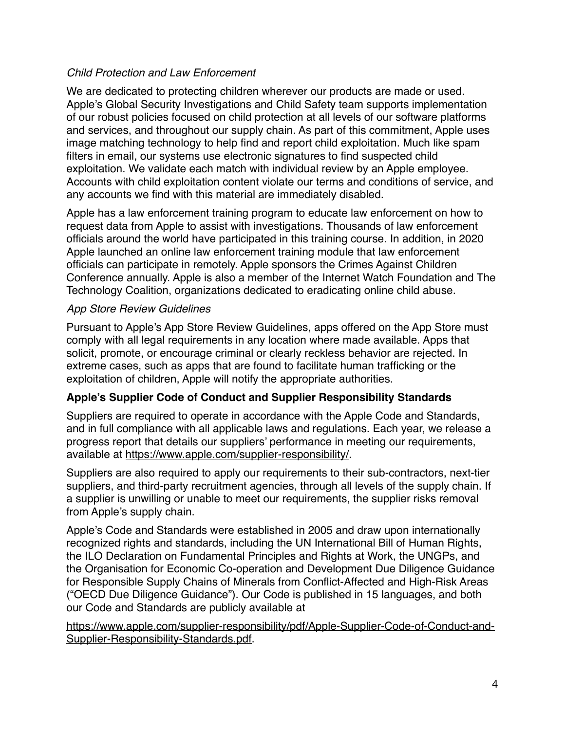# *Child Protection and Law Enforcement*

We are dedicated to protecting children wherever our products are made or used. Apple's Global Security Investigations and Child Safety team supports implementation of our robust policies focused on child protection at all levels of our software platforms and services, and throughout our supply chain. As part of this commitment, Apple uses image matching technology to help find and report child exploitation. Much like spam filters in email, our systems use electronic signatures to find suspected child exploitation. We validate each match with individual review by an Apple employee. Accounts with child exploitation content violate our terms and conditions of service, and any accounts we find with this material are immediately disabled.

Apple has a law enforcement training program to educate law enforcement on how to request data from Apple to assist with investigations. Thousands of law enforcement officials around the world have participated in this training course. In addition, in 2020 Apple launched an online law enforcement training module that law enforcement officials can participate in remotely. Apple sponsors the Crimes Against Children Conference annually. Apple is also a member of the Internet Watch Foundation and The Technology Coalition, organizations dedicated to eradicating online child abuse.

## *App Store Review Guidelines*

Pursuant to Apple's App Store Review Guidelines, apps offered on the App Store must comply with all legal requirements in any location where made available. Apps that solicit, promote, or encourage criminal or clearly reckless behavior are rejected. In extreme cases, such as apps that are found to facilitate human trafficking or the exploitation of children, Apple will notify the appropriate authorities.

# **Apple's Supplier Code of Conduct and Supplier Responsibility Standards**

Suppliers are required to operate in accordance with the Apple Code and Standards, and in full compliance with all applicable laws and regulations. Each year, we release a progress report that details our suppliers' performance in meeting our requirements, available at<https://www.apple.com/supplier-responsibility/>.

Suppliers are also required to apply our requirements to their sub-contractors, next-tier suppliers, and third-party recruitment agencies, through all levels of the supply chain. If a supplier is unwilling or unable to meet our requirements, the supplier risks removal from Apple's supply chain.

Apple's Code and Standards were established in 2005 and draw upon internationally recognized rights and standards, including the UN International Bill of Human Rights, the ILO Declaration on Fundamental Principles and Rights at Work, the UNGPs, and the Organisation for Economic Co-operation and Development Due Diligence Guidance for Responsible Supply Chains of Minerals from Conflict-Affected and High-Risk Areas ("OECD Due Diligence Guidance"). Our Code is published in 15 languages, and both our Code and Standards are publicly available at

[https://www.apple.com/supplier-responsibility/pdf/Apple-Supplier-Code-of-Conduct-and-](https://www.apple.com/supplier-responsibility/pdf/Apple-Supplier-Code-of-Conduct-and-Supplier-Responsibility-Standards.pdf)[Supplier-Responsibility-Standards.pdf.](https://www.apple.com/supplier-responsibility/pdf/Apple-Supplier-Code-of-Conduct-and-Supplier-Responsibility-Standards.pdf)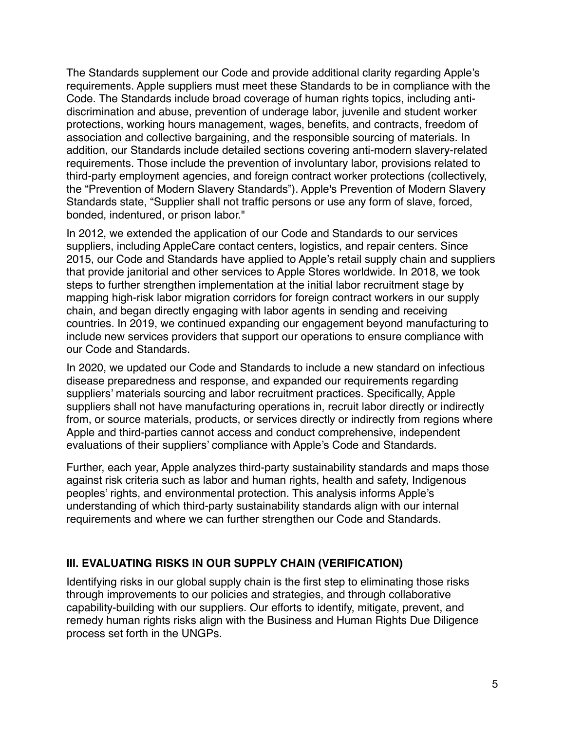The Standards supplement our Code and provide additional clarity regarding Apple's requirements. Apple suppliers must meet these Standards to be in compliance with the Code. The Standards include broad coverage of human rights topics, including antidiscrimination and abuse, prevention of underage labor, juvenile and student worker protections, working hours management, wages, benefits, and contracts, freedom of association and collective bargaining, and the responsible sourcing of materials. In addition, our Standards include detailed sections covering anti-modern slavery-related requirements. Those include the prevention of involuntary labor, provisions related to third-party employment agencies, and foreign contract worker protections (collectively, the "Prevention of Modern Slavery Standards"). Apple's Prevention of Modern Slavery Standards state, "Supplier shall not traffic persons or use any form of slave, forced, bonded, indentured, or prison labor."

In 2012, we extended the application of our Code and Standards to our services suppliers, including AppleCare contact centers, logistics, and repair centers. Since 2015, our Code and Standards have applied to Apple's retail supply chain and suppliers that provide janitorial and other services to Apple Stores worldwide. In 2018, we took steps to further strengthen implementation at the initial labor recruitment stage by mapping high-risk labor migration corridors for foreign contract workers in our supply chain, and began directly engaging with labor agents in sending and receiving countries. In 2019, we continued expanding our engagement beyond manufacturing to include new services providers that support our operations to ensure compliance with our Code and Standards.

In 2020, we updated our Code and Standards to include a new standard on infectious disease preparedness and response, and expanded our requirements regarding suppliers' materials sourcing and labor recruitment practices. Specifically, Apple suppliers shall not have manufacturing operations in, recruit labor directly or indirectly from, or source materials, products, or services directly or indirectly from regions where Apple and third-parties cannot access and conduct comprehensive, independent evaluations of their suppliers' compliance with Apple's Code and Standards.

Further, each year, Apple analyzes third-party sustainability standards and maps those against risk criteria such as labor and human rights, health and safety, Indigenous peoples' rights, and environmental protection. This analysis informs Apple's understanding of which third-party sustainability standards align with our internal requirements and where we can further strengthen our Code and Standards.

# **III. EVALUATING RISKS IN OUR SUPPLY CHAIN (VERIFICATION)**

Identifying risks in our global supply chain is the first step to eliminating those risks through improvements to our policies and strategies, and through collaborative capability-building with our suppliers. Our efforts to identify, mitigate, prevent, and remedy human rights risks align with the Business and Human Rights Due Diligence process set forth in the UNGPs.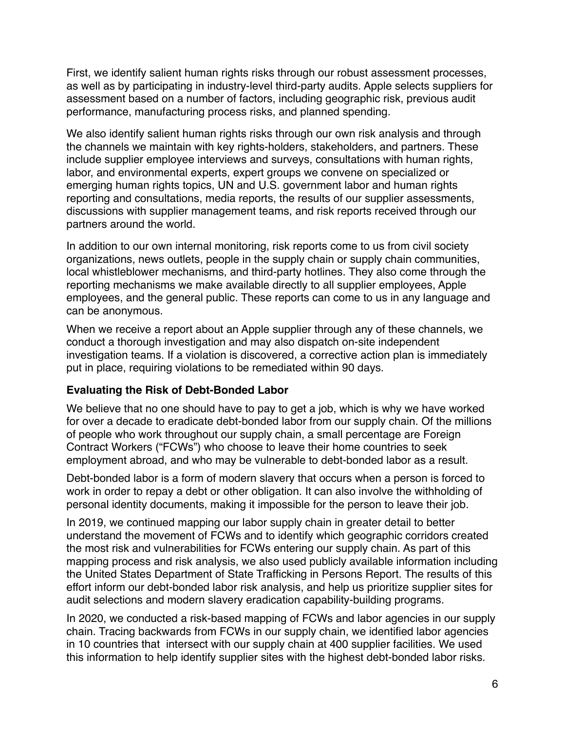First, we identify salient human rights risks through our robust assessment processes, as well as by participating in industry-level third-party audits. Apple selects suppliers for assessment based on a number of factors, including geographic risk, previous audit performance, manufacturing process risks, and planned spending.

We also identify salient human rights risks through our own risk analysis and through the channels we maintain with key rights-holders, stakeholders, and partners. These include supplier employee interviews and surveys, consultations with human rights, labor, and environmental experts, expert groups we convene on specialized or emerging human rights topics, UN and U.S. government labor and human rights reporting and consultations, media reports, the results of our supplier assessments, discussions with supplier management teams, and risk reports received through our partners around the world.

In addition to our own internal monitoring, risk reports come to us from civil society organizations, news outlets, people in the supply chain or supply chain communities, local whistleblower mechanisms, and third-party hotlines. They also come through the reporting mechanisms we make available directly to all supplier employees, Apple employees, and the general public. These reports can come to us in any language and can be anonymous.

When we receive a report about an Apple supplier through any of these channels, we conduct a thorough investigation and may also dispatch on-site independent investigation teams. If a violation is discovered, a corrective action plan is immediately put in place, requiring violations to be remediated within 90 days.

# **Evaluating the Risk of Debt-Bonded Labor**

We believe that no one should have to pay to get a job, which is why we have worked for over a decade to eradicate debt-bonded labor from our supply chain. Of the millions of people who work throughout our supply chain, a small percentage are Foreign Contract Workers ("FCWs") who choose to leave their home countries to seek employment abroad, and who may be vulnerable to debt-bonded labor as a result.

Debt-bonded labor is a form of modern slavery that occurs when a person is forced to work in order to repay a debt or other obligation. It can also involve the withholding of personal identity documents, making it impossible for the person to leave their job.

In 2019, we continued mapping our labor supply chain in greater detail to better understand the movement of FCWs and to identify which geographic corridors created the most risk and vulnerabilities for FCWs entering our supply chain. As part of this mapping process and risk analysis, we also used publicly available information including the United States Department of State Trafficking in Persons Report. The results of this effort inform our debt-bonded labor risk analysis, and help us prioritize supplier sites for audit selections and modern slavery eradication capability-building programs.

In 2020, we conducted a risk-based mapping of FCWs and labor agencies in our supply chain. Tracing backwards from FCWs in our supply chain, we identified labor agencies in 10 countries that intersect with our supply chain at 400 supplier facilities. We used this information to help identify supplier sites with the highest debt-bonded labor risks.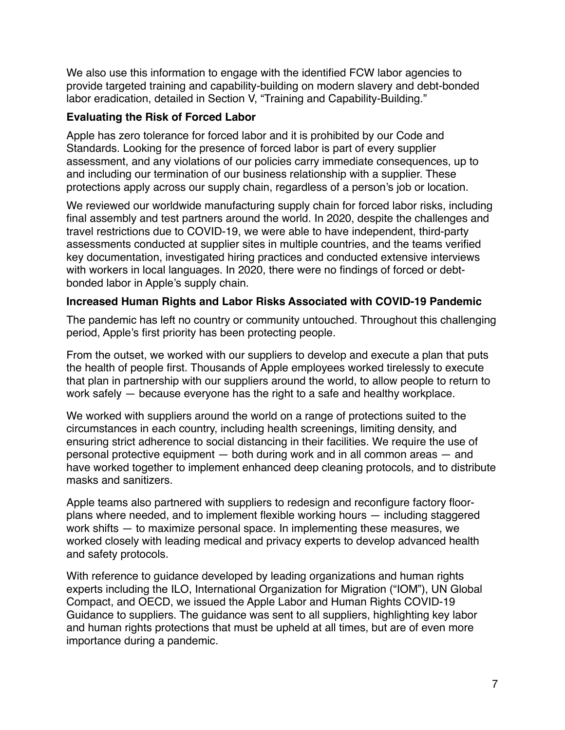We also use this information to engage with the identified FCW labor agencies to provide targeted training and capability-building on modern slavery and debt-bonded labor eradication, detailed in Section V, "Training and Capability-Building."

# **Evaluating the Risk of Forced Labor**

Apple has zero tolerance for forced labor and it is prohibited by our Code and Standards. Looking for the presence of forced labor is part of every supplier assessment, and any violations of our policies carry immediate consequences, up to and including our termination of our business relationship with a supplier. These protections apply across our supply chain, regardless of a person's job or location.

We reviewed our worldwide manufacturing supply chain for forced labor risks, including final assembly and test partners around the world. In 2020, despite the challenges and travel restrictions due to COVID-19, we were able to have independent, third-party assessments conducted at supplier sites in multiple countries, and the teams verified key documentation, investigated hiring practices and conducted extensive interviews with workers in local languages. In 2020, there were no findings of forced or debtbonded labor in Apple's supply chain.

# **Increased Human Rights and Labor Risks Associated with COVID-19 Pandemic**

The pandemic has left no country or community untouched. Throughout this challenging period, Apple's first priority has been protecting people.

From the outset, we worked with our suppliers to develop and execute a plan that puts the health of people first. Thousands of Apple employees worked tirelessly to execute that plan in partnership with our suppliers around the world, to allow people to return to work safely — because everyone has the right to a safe and healthy workplace.

We worked with suppliers around the world on a range of protections suited to the circumstances in each country, including health screenings, limiting density, and ensuring strict adherence to social distancing in their facilities. We require the use of personal protective equipment — both during work and in all common areas — and have worked together to implement enhanced deep cleaning protocols, and to distribute masks and sanitizers.

Apple teams also partnered with suppliers to redesign and reconfigure factory floorplans where needed, and to implement flexible working hours — including staggered work shifts — to maximize personal space. In implementing these measures, we worked closely with leading medical and privacy experts to develop advanced health and safety protocols.

With reference to guidance developed by leading organizations and human rights experts including the ILO, International Organization for Migration ("IOM"), UN Global Compact, and OECD, we issued the Apple Labor and Human Rights COVID-19 Guidance to suppliers. The guidance was sent to all suppliers, highlighting key labor and human rights protections that must be upheld at all times, but are of even more importance during a pandemic.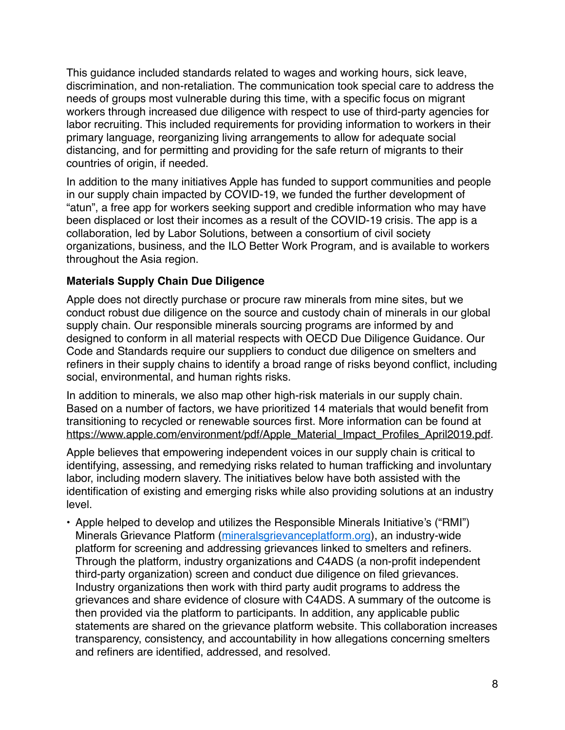This guidance included standards related to wages and working hours, sick leave, discrimination, and non-retaliation. The communication took special care to address the needs of groups most vulnerable during this time, with a specific focus on migrant workers through increased due diligence with respect to use of third-party agencies for labor recruiting. This included requirements for providing information to workers in their primary language, reorganizing living arrangements to allow for adequate social distancing, and for permitting and providing for the safe return of migrants to their countries of origin, if needed.

In addition to the many initiatives Apple has funded to support communities and people in our supply chain impacted by COVID-19, we funded the further development of "atun", a free app for workers seeking support and credible information who may have been displaced or lost their incomes as a result of the COVID-19 crisis. The app is a collaboration, led by Labor Solutions, between a consortium of civil society organizations, business, and the ILO Better Work Program, and is available to workers throughout the Asia region.

# **Materials Supply Chain Due Diligence**

Apple does not directly purchase or procure raw minerals from mine sites, but we conduct robust due diligence on the source and custody chain of minerals in our global supply chain. Our responsible minerals sourcing programs are informed by and designed to conform in all material respects with OECD Due Diligence Guidance. Our Code and Standards require our suppliers to conduct due diligence on smelters and refiners in their supply chains to identify a broad range of risks beyond conflict, including social, environmental, and human rights risks.

In addition to minerals, we also map other high-risk materials in our supply chain. Based on a number of factors, we have prioritized 14 materials that would benefit from transitioning to recycled or renewable sources first. More information can be found at [https://www.apple.com/environment/pdf/Apple\\_Material\\_Impact\\_Profiles\\_April2019.pdf.](https://www.apple.com/environment/pdf/Apple_Material_Impact_Profiles_April2019.pdf)

Apple believes that empowering independent voices in our supply chain is critical to identifying, assessing, and remedying risks related to human trafficking and involuntary labor, including modern slavery. The initiatives below have both assisted with the identification of existing and emerging risks while also providing solutions at an industry level.

• Apple helped to develop and utilizes the Responsible Minerals Initiative's ("RMI") Minerals Grievance Platform ([mineralsgrievanceplatform.org\)](http://mineralsgrievanceplatform.org/), an industry-wide platform for screening and addressing grievances linked to smelters and refiners. Through the platform, industry organizations and C4ADS (a non-profit independent third-party organization) screen and conduct due diligence on filed grievances. Industry organizations then work with third party audit programs to address the grievances and share evidence of closure with C4ADS. A summary of the outcome is then provided via the platform to participants. In addition, any applicable public statements are shared on the grievance platform website. This collaboration increases transparency, consistency, and accountability in how allegations concerning smelters and refiners are identified, addressed, and resolved.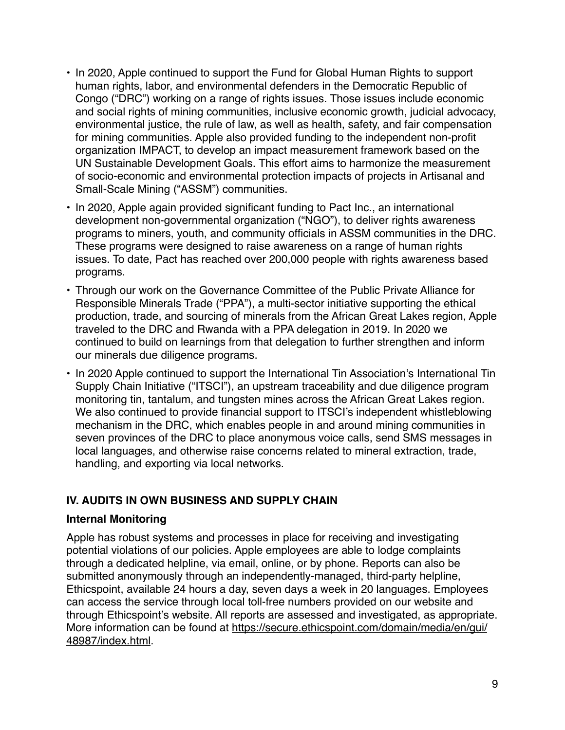- In 2020, Apple continued to support the Fund for Global Human Rights to support human rights, labor, and environmental defenders in the Democratic Republic of Congo ("DRC") working on a range of rights issues. Those issues include economic and social rights of mining communities, inclusive economic growth, judicial advocacy, environmental justice, the rule of law, as well as health, safety, and fair compensation for mining communities. Apple also provided funding to the independent non-profit organization IMPACT, to develop an impact measurement framework based on the UN Sustainable Development Goals. This effort aims to harmonize the measurement of socio-economic and environmental protection impacts of projects in Artisanal and Small-Scale Mining ("ASSM") communities.
- In 2020, Apple again provided significant funding to Pact Inc., an international development non-governmental organization ("NGO"), to deliver rights awareness programs to miners, youth, and community officials in ASSM communities in the DRC. These programs were designed to raise awareness on a range of human rights issues. To date, Pact has reached over 200,000 people with rights awareness based programs.
- Through our work on the Governance Committee of the Public Private Alliance for Responsible Minerals Trade ("PPA"), a multi-sector initiative supporting the ethical production, trade, and sourcing of minerals from the African Great Lakes region, Apple traveled to the DRC and Rwanda with a PPA delegation in 2019. In 2020 we continued to build on learnings from that delegation to further strengthen and inform our minerals due diligence programs.
- In 2020 Apple continued to support the International Tin Association's International Tin Supply Chain Initiative ("ITSCI"), an upstream traceability and due diligence program monitoring tin, tantalum, and tungsten mines across the African Great Lakes region. We also continued to provide financial support to ITSCI's independent whistleblowing mechanism in the DRC, which enables people in and around mining communities in seven provinces of the DRC to place anonymous voice calls, send SMS messages in local languages, and otherwise raise concerns related to mineral extraction, trade, handling, and exporting via local networks.

# **IV. AUDITS IN OWN BUSINESS AND SUPPLY CHAIN**

# **Internal Monitoring**

Apple has robust systems and processes in place for receiving and investigating potential violations of our policies. Apple employees are able to lodge complaints through a dedicated helpline, via email, online, or by phone. Reports can also be submitted anonymously through an independently-managed, third-party helpline, Ethicspoint, available 24 hours a day, seven days a week in 20 languages. Employees can access the service through local toll-free numbers provided on our website and through Ethicspoint's website. All reports are assessed and investigated, as appropriate. More information can be found at [https://secure.ethicspoint.com/domain/media/en/gui/](https://secure.ethicspoint.com/domain/media/en/gui/48987/index.html) [48987/index.html](https://secure.ethicspoint.com/domain/media/en/gui/48987/index.html).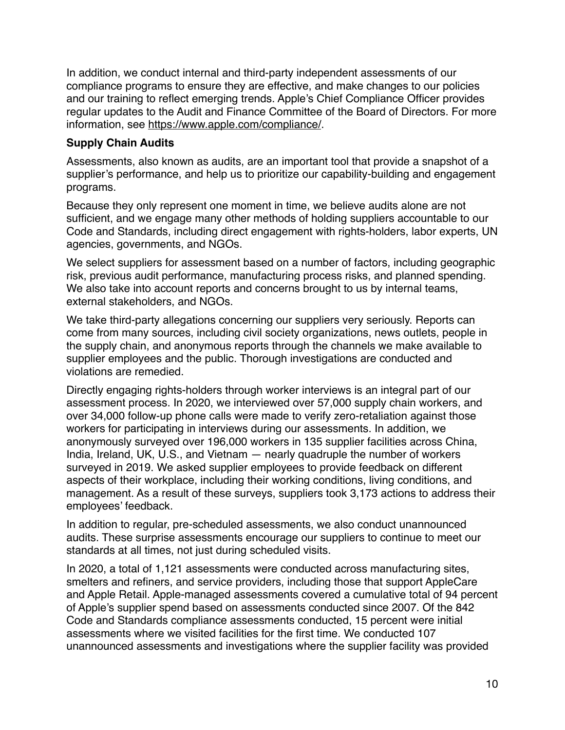In addition, we conduct internal and third-party independent assessments of our compliance programs to ensure they are effective, and make changes to our policies and our training to reflect emerging trends. Apple's Chief Compliance Officer provides regular updates to the Audit and Finance Committee of the Board of Directors. For more information, see <https://www.apple.com/compliance/>.

# **Supply Chain Audits**

Assessments, also known as audits, are an important tool that provide a snapshot of a supplier's performance, and help us to prioritize our capability-building and engagement programs.

Because they only represent one moment in time, we believe audits alone are not sufficient, and we engage many other methods of holding suppliers accountable to our Code and Standards, including direct engagement with rights-holders, labor experts, UN agencies, governments, and NGOs.

We select suppliers for assessment based on a number of factors, including geographic risk, previous audit performance, manufacturing process risks, and planned spending. We also take into account reports and concerns brought to us by internal teams, external stakeholders, and NGOs.

We take third-party allegations concerning our suppliers very seriously. Reports can come from many sources, including civil society organizations, news outlets, people in the supply chain, and anonymous reports through the channels we make available to supplier employees and the public. Thorough investigations are conducted and violations are remedied.

Directly engaging rights-holders through worker interviews is an integral part of our assessment process. In 2020, we interviewed over 57,000 supply chain workers, and over 34,000 follow-up phone calls were made to verify zero-retaliation against those workers for participating in interviews during our assessments. In addition, we anonymously surveyed over 196,000 workers in 135 supplier facilities across China, India, Ireland, UK, U.S., and Vietnam — nearly quadruple the number of workers surveyed in 2019. We asked supplier employees to provide feedback on different aspects of their workplace, including their working conditions, living conditions, and management. As a result of these surveys, suppliers took 3,173 actions to address their employees' feedback.

In addition to regular, pre-scheduled assessments, we also conduct unannounced audits. These surprise assessments encourage our suppliers to continue to meet our standards at all times, not just during scheduled visits.

In 2020, a total of 1,121 assessments were conducted across manufacturing sites, smelters and refiners, and service providers, including those that support AppleCare and Apple Retail. Apple-managed assessments covered a cumulative total of 94 percent of Apple's supplier spend based on assessments conducted since 2007. Of the 842 Code and Standards compliance assessments conducted, 15 percent were initial assessments where we visited facilities for the first time. We conducted 107 unannounced assessments and investigations where the supplier facility was provided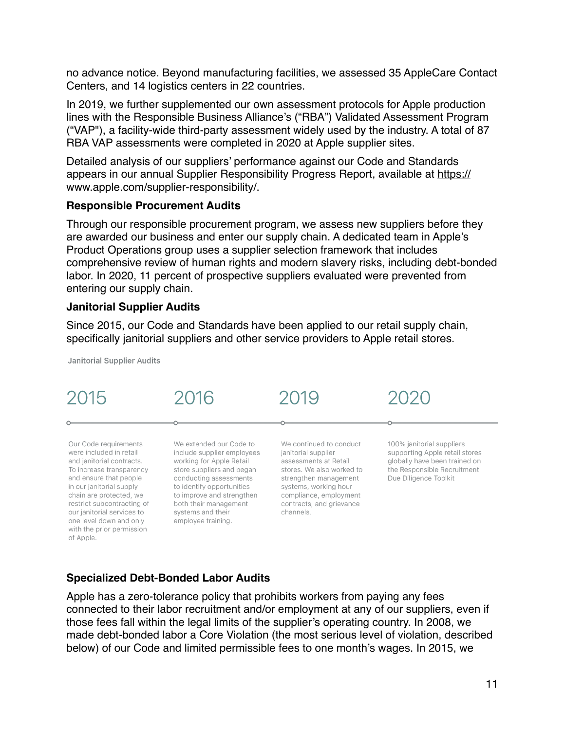no advance notice. Beyond manufacturing facilities, we assessed 35 AppleCare Contact Centers, and 14 logistics centers in 22 countries.

In 2019, we further supplemented our own assessment protocols for Apple production lines with the Responsible Business Alliance's ("RBA") Validated Assessment Program ("VAP"), a facility-wide third-party assessment widely used by the industry. A total of 87 RBA VAP assessments were completed in 2020 at Apple supplier sites.

Detailed analysis of our suppliers' performance against our Code and Standards appears in our annual Supplier Responsibility Progress Report, available at [https://](https://www.apple.com/supplier-responsibility/) [www.apple.com/supplier-responsibility/](https://www.apple.com/supplier-responsibility/).

#### **Responsible Procurement Audits**

Through our responsible procurement program, we assess new suppliers before they are awarded our business and enter our supply chain. A dedicated team in Apple's Product Operations group uses a supplier selection framework that includes comprehensive review of human rights and modern slavery risks, including debt-bonded labor. In 2020, 11 percent of prospective suppliers evaluated were prevented from entering our supply chain.

#### **Janitorial Supplier Audits**

Since 2015, our Code and Standards have been applied to our retail supply chain, specifically janitorial suppliers and other service providers to Apple retail stores.

**Janitorial Supplier Audits** 



# **Specialized Debt-Bonded Labor Audits**

Apple has a zero-tolerance policy that prohibits workers from paying any fees connected to their labor recruitment and/or employment at any of our suppliers, even if those fees fall within the legal limits of the supplier's operating country. In 2008, we made debt-bonded labor a Core Violation (the most serious level of violation, described below) of our Code and limited permissible fees to one month's wages. In 2015, we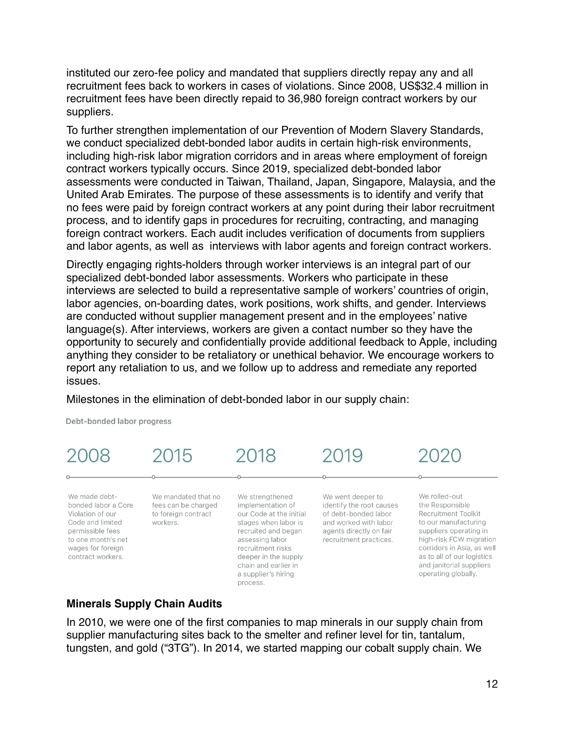instituted our zero-fee policy and mandated that suppliers directly repay any and all recruitment fees back to workers in cases of violations. Since 2008, US\$32.4 million in recruitment fees have been directly repaid to 36,980 foreign contract workers by our suppliers.

To further strengthen implementation of our Prevention of Modern Slavery Standards, we conduct specialized debt-bonded labor audits in certain high-risk environments, including high-risk labor migration corridors and in areas where employment of foreign contract workers typically occurs. Since 2019, specialized debt-bonded labor assessments were conducted in Taiwan, Thailand, Japan, Singapore, Malaysia, and the United Arab Emirates. The purpose of these assessments is to identify and verify that no fees were paid by foreign contract workers at any point during their labor recruitment process, and to identify gaps in procedures for recruiting, contracting, and managing foreign contract workers. Each audit includes verification of documents from suppliers and labor agents, as well as interviews with labor agents and foreign contract workers.

Directly engaging rights-holders through worker interviews is an integral part of our specialized debt-bonded labor assessments. Workers who participate in these interviews are selected to build a representative sample of workers' countries of origin, labor agencies, on-boarding dates, work positions, work shifts, and gender. Interviews are conducted without supplier management present and in the employees' native language(s). After interviews, workers are given a contact number so they have the opportunity to securely and confidentially provide additional feedback to Apple, including anything they consider to be retaliatory or unethical behavior. We encourage workers to report any retaliation to us, and we follow up to address and remediate any reported issues.

Milestones in the elimination of debt-bonded labor in our supply chain:

Debt-bonded labor progress



#### **Minerals Supply Chain Audits**

In 2010, we were one of the first companies to map minerals in our supply chain from supplier manufacturing sites back to the smelter and refiner level for tin, tantalum, tungsten, and gold ("3TG"). In 2014, we started mapping our cobalt supply chain. We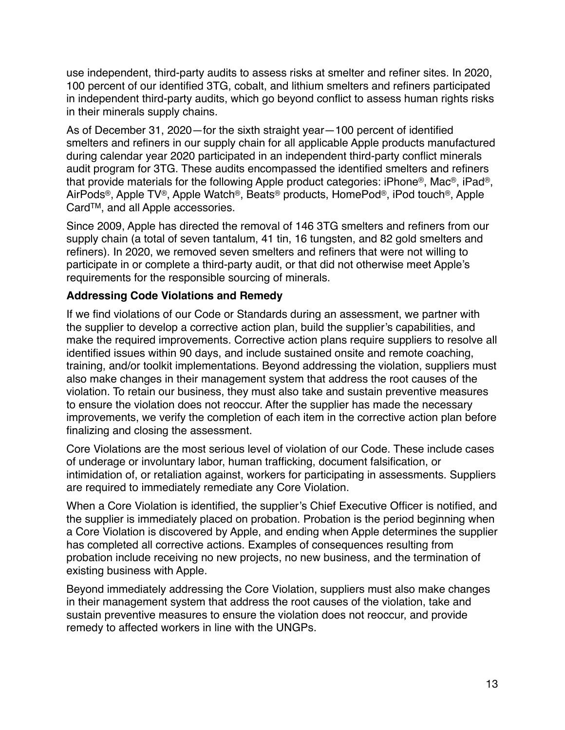use independent, third-party audits to assess risks at smelter and refiner sites. In 2020, 100 percent of our identified 3TG, cobalt, and lithium smelters and refiners participated in independent third-party audits, which go beyond conflict to assess human rights risks in their minerals supply chains.

As of December 31, 2020—for the sixth straight year—100 percent of identified smelters and refiners in our supply chain for all applicable Apple products manufactured during calendar year 2020 participated in an independent third-party conflict minerals audit program for 3TG. These audits encompassed the identified smelters and refiners that provide materials for the following Apple product categories: iPhone®, Mac®, iPad®, AirPods®, Apple TV®, Apple Watch®, Beats® products, HomePod®, iPod touch®, Apple CardTM, and all Apple accessories.

Since 2009, Apple has directed the removal of 146 3TG smelters and refiners from our supply chain (a total of seven tantalum, 41 tin, 16 tungsten, and 82 gold smelters and refiners). In 2020, we removed seven smelters and refiners that were not willing to participate in or complete a third-party audit, or that did not otherwise meet Apple's requirements for the responsible sourcing of minerals.

# **Addressing Code Violations and Remedy**

If we find violations of our Code or Standards during an assessment, we partner with the supplier to develop a corrective action plan, build the supplier's capabilities, and make the required improvements. Corrective action plans require suppliers to resolve all identified issues within 90 days, and include sustained onsite and remote coaching, training, and/or toolkit implementations. Beyond addressing the violation, suppliers must also make changes in their management system that address the root causes of the violation. To retain our business, they must also take and sustain preventive measures to ensure the violation does not reoccur. After the supplier has made the necessary improvements, we verify the completion of each item in the corrective action plan before finalizing and closing the assessment.

Core Violations are the most serious level of violation of our Code. These include cases of underage or involuntary labor, human trafficking, document falsification, or intimidation of, or retaliation against, workers for participating in assessments. Suppliers are required to immediately remediate any Core Violation.

When a Core Violation is identified, the supplier's Chief Executive Officer is notified, and the supplier is immediately placed on probation. Probation is the period beginning when a Core Violation is discovered by Apple, and ending when Apple determines the supplier has completed all corrective actions. Examples of consequences resulting from probation include receiving no new projects, no new business, and the termination of existing business with Apple.

Beyond immediately addressing the Core Violation, suppliers must also make changes in their management system that address the root causes of the violation, take and sustain preventive measures to ensure the violation does not reoccur, and provide remedy to affected workers in line with the UNGPs.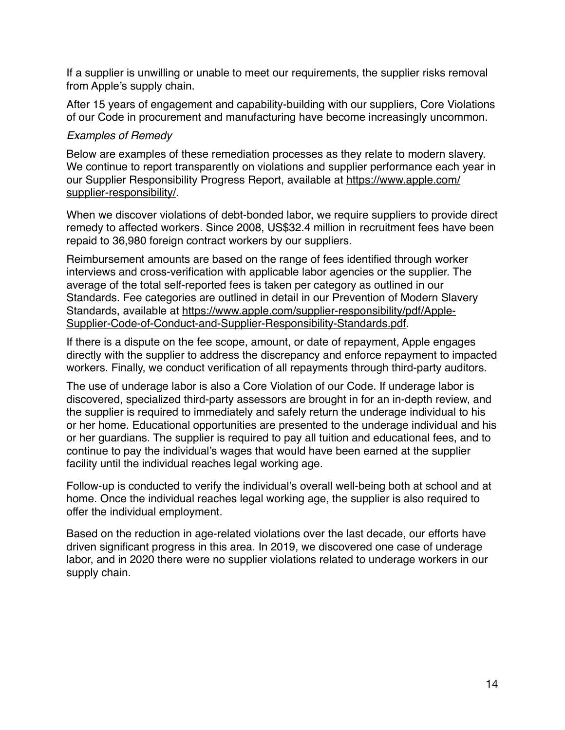If a supplier is unwilling or unable to meet our requirements, the supplier risks removal from Apple's supply chain.

After 15 years of engagement and capability-building with our suppliers, Core Violations of our Code in procurement and manufacturing have become increasingly uncommon.

# *Examples of Remedy*

Below are examples of these remediation processes as they relate to modern slavery. We continue to report transparently on violations and supplier performance each year in our Supplier Responsibility Progress Report, available at [https://www.apple.com/](https://www.apple.com/supplier-responsibility/) [supplier-responsibility/.](https://www.apple.com/supplier-responsibility/)

When we discover violations of debt-bonded labor, we require suppliers to provide direct remedy to affected workers. Since 2008, US\$32.4 million in recruitment fees have been repaid to 36,980 foreign contract workers by our suppliers.

Reimbursement amounts are based on the range of fees identified through worker interviews and cross-verification with applicable labor agencies or the supplier. The average of the total self-reported fees is taken per category as outlined in our Standards. Fee categories are outlined in detail in our Prevention of Modern Slavery [Standards, available at https://www.apple.com/supplier-responsibility/pdf/Apple-](https://www.apple.com/supplier-responsibility/pdf/Apple-Supplier-Code-of-Conduct-and-Supplier-Responsibility-Standards.pdf)[Supplier-Code-of-Conduct-and-Supplier-Responsibility-Standards.pdf](https://www.apple.com/supplier-responsibility/pdf/Apple-Supplier-Code-of-Conduct-and-Supplier-Responsibility-Standards.pdf).

If there is a dispute on the fee scope, amount, or date of repayment, Apple engages directly with the supplier to address the discrepancy and enforce repayment to impacted workers. Finally, we conduct verification of all repayments through third-party auditors.

The use of underage labor is also a Core Violation of our Code. If underage labor is discovered, specialized third-party assessors are brought in for an in-depth review, and the supplier is required to immediately and safely return the underage individual to his or her home. Educational opportunities are presented to the underage individual and his or her guardians. The supplier is required to pay all tuition and educational fees, and to continue to pay the individual's wages that would have been earned at the supplier facility until the individual reaches legal working age.

Follow-up is conducted to verify the individual's overall well-being both at school and at home. Once the individual reaches legal working age, the supplier is also required to offer the individual employment.

Based on the reduction in age-related violations over the last decade, our efforts have driven significant progress in this area. In 2019, we discovered one case of underage labor, and in 2020 there were no supplier violations related to underage workers in our supply chain.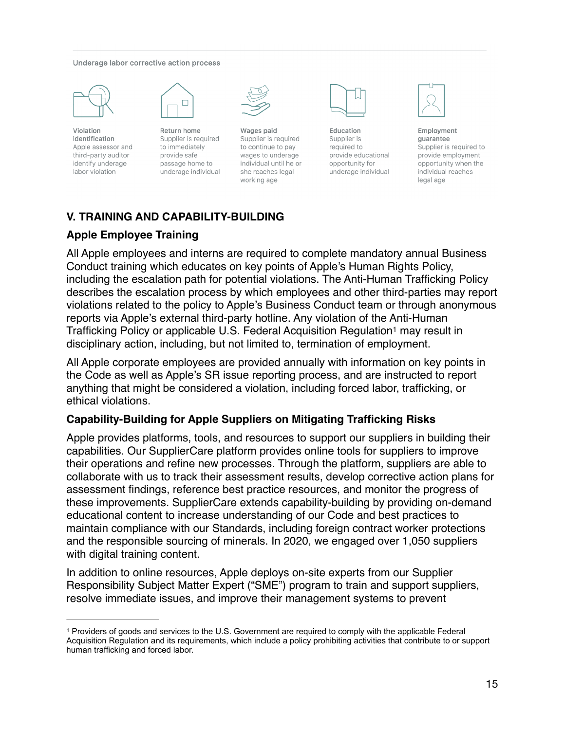#### Underage labor corrective action process



Violation identification Apple assessor and third-party auditor identify underage labor violation



Return home Supplier is required to immediately provide safe passage home to underage individual



Wages paid Supplier is required to continue to pay wages to underage individual until he or she reaches legal working age



Education Supplier is required to provide educational opportunity for underage individual

<span id="page-14-1"></span>

Employment quarantee Supplier is required to provide employment opportunity when the individual reaches legal age

# **V. TRAINING AND CAPABILITY-BUILDING**

## **Apple Employee Training**

All Apple employees and interns are required to complete mandatory annual Business Conduct training which educates on key points of Apple's Human Rights Policy, including the escalation path for potential violations. The Anti-Human Trafficking Policy describes the escalation process by which employees and other third-parties may report violations related to the policy to Apple's Business Conduct team or through anonymous reports via Apple's external third-party hotline. Any violation of the Anti-Human Trafficking Policy or applicable U.S. Federal Acquisition Regulation<sup>[1](#page-14-0)</sup> may result in disciplinary action, including, but not limited to, termination of employment.

All Apple corporate employees are provided annually with information on key points in the Code as well as Apple's SR issue reporting process, and are instructed to report anything that might be considered a violation, including forced labor, trafficking, or ethical violations.

#### **Capability-Building for Apple Suppliers on Mitigating Trafficking Risks**

Apple provides platforms, tools, and resources to support our suppliers in building their capabilities. Our SupplierCare platform provides online tools for suppliers to improve their operations and refine new processes. Through the platform, suppliers are able to collaborate with us to track their assessment results, develop corrective action plans for assessment findings, reference best practice resources, and monitor the progress of these improvements. SupplierCare extends capability-building by providing on-demand educational content to increase understanding of our Code and best practices to maintain compliance with our Standards, including foreign contract worker protections and the responsible sourcing of minerals. In 2020, we engaged over 1,050 suppliers with digital training content.

In addition to online resources, Apple deploys on-site experts from our Supplier Responsibility Subject Matter Expert ("SME") program to train and support suppliers, resolve immediate issues, and improve their management systems to prevent

<span id="page-14-0"></span><sup>&</sup>lt;sup>[1](#page-14-1)</sup> Providers of goods and services to the U.S. Government are required to comply with the applicable Federal Acquisition Regulation and its requirements, which include a policy prohibiting activities that contribute to or support human trafficking and forced labor.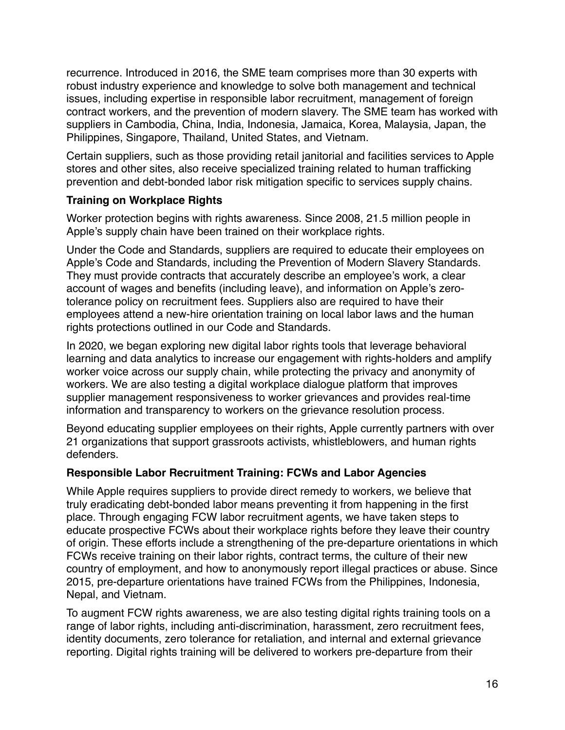recurrence. Introduced in 2016, the SME team comprises more than 30 experts with robust industry experience and knowledge to solve both management and technical issues, including expertise in responsible labor recruitment, management of foreign contract workers, and the prevention of modern slavery. The SME team has worked with suppliers in Cambodia, China, India, Indonesia, Jamaica, Korea, Malaysia, Japan, the Philippines, Singapore, Thailand, United States, and Vietnam.

Certain suppliers, such as those providing retail janitorial and facilities services to Apple stores and other sites, also receive specialized training related to human trafficking prevention and debt-bonded labor risk mitigation specific to services supply chains.

# **Training on Workplace Rights**

Worker protection begins with rights awareness. Since 2008, 21.5 million people in Apple's supply chain have been trained on their workplace rights.

Under the Code and Standards, suppliers are required to educate their employees on Apple's Code and Standards, including the Prevention of Modern Slavery Standards. They must provide contracts that accurately describe an employee's work, a clear account of wages and benefits (including leave), and information on Apple's zerotolerance policy on recruitment fees. Suppliers also are required to have their employees attend a new-hire orientation training on local labor laws and the human rights protections outlined in our Code and Standards.

In 2020, we began exploring new digital labor rights tools that leverage behavioral learning and data analytics to increase our engagement with rights-holders and amplify worker voice across our supply chain, while protecting the privacy and anonymity of workers. We are also testing a digital workplace dialogue platform that improves supplier management responsiveness to worker grievances and provides real-time information and transparency to workers on the grievance resolution process.

Beyond educating supplier employees on their rights, Apple currently partners with over 21 organizations that support grassroots activists, whistleblowers, and human rights defenders.

# **Responsible Labor Recruitment Training: FCWs and Labor Agencies**

While Apple requires suppliers to provide direct remedy to workers, we believe that truly eradicating debt-bonded labor means preventing it from happening in the first place. Through engaging FCW labor recruitment agents, we have taken steps to educate prospective FCWs about their workplace rights before they leave their country of origin. These efforts include a strengthening of the pre-departure orientations in which FCWs receive training on their labor rights, contract terms, the culture of their new country of employment, and how to anonymously report illegal practices or abuse. Since 2015, pre-departure orientations have trained FCWs from the Philippines, Indonesia, Nepal, and Vietnam.

To augment FCW rights awareness, we are also testing digital rights training tools on a range of labor rights, including anti-discrimination, harassment, zero recruitment fees, identity documents, zero tolerance for retaliation, and internal and external grievance reporting. Digital rights training will be delivered to workers pre-departure from their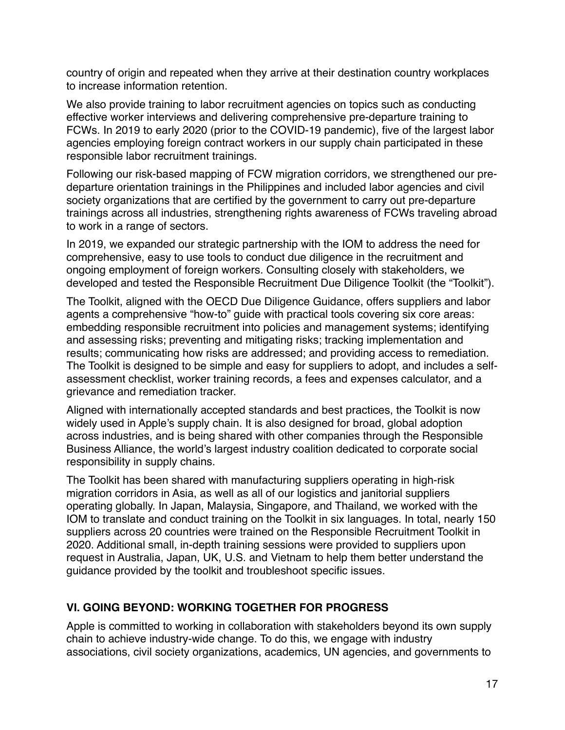country of origin and repeated when they arrive at their destination country workplaces to increase information retention.

We also provide training to labor recruitment agencies on topics such as conducting effective worker interviews and delivering comprehensive pre-departure training to FCWs. In 2019 to early 2020 (prior to the COVID-19 pandemic), five of the largest labor agencies employing foreign contract workers in our supply chain participated in these responsible labor recruitment trainings.

Following our risk-based mapping of FCW migration corridors, we strengthened our predeparture orientation trainings in the Philippines and included labor agencies and civil society organizations that are certified by the government to carry out pre-departure trainings across all industries, strengthening rights awareness of FCWs traveling abroad to work in a range of sectors.

In 2019, we expanded our strategic partnership with the IOM to address the need for comprehensive, easy to use tools to conduct due diligence in the recruitment and ongoing employment of foreign workers. Consulting closely with stakeholders, we developed and tested the Responsible Recruitment Due Diligence Toolkit (the "Toolkit").

The Toolkit, aligned with the OECD Due Diligence Guidance, offers suppliers and labor agents a comprehensive "how-to" guide with practical tools covering six core areas: embedding responsible recruitment into policies and management systems; identifying and assessing risks; preventing and mitigating risks; tracking implementation and results; communicating how risks are addressed; and providing access to remediation. The Toolkit is designed to be simple and easy for suppliers to adopt, and includes a selfassessment checklist, worker training records, a fees and expenses calculator, and a grievance and remediation tracker.

Aligned with internationally accepted standards and best practices, the Toolkit is now widely used in Apple's supply chain. It is also designed for broad, global adoption across industries, and is being shared with other companies through the Responsible Business Alliance, the world's largest industry coalition dedicated to corporate social responsibility in supply chains.

The Toolkit has been shared with manufacturing suppliers operating in high-risk migration corridors in Asia, as well as all of our logistics and janitorial suppliers operating globally. In Japan, Malaysia, Singapore, and Thailand, we worked with the IOM to translate and conduct training on the Toolkit in six languages. In total, nearly 150 suppliers across 20 countries were trained on the Responsible Recruitment Toolkit in 2020. Additional small, in-depth training sessions were provided to suppliers upon request in Australia, Japan, UK, U.S. and Vietnam to help them better understand the guidance provided by the toolkit and troubleshoot specific issues.

# **VI. GOING BEYOND: WORKING TOGETHER FOR PROGRESS**

Apple is committed to working in collaboration with stakeholders beyond its own supply chain to achieve industry-wide change. To do this, we engage with industry associations, civil society organizations, academics, UN agencies, and governments to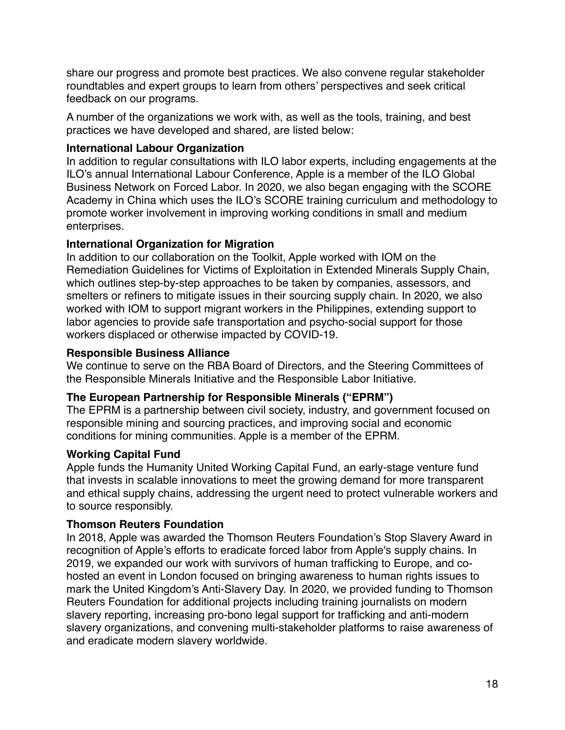share our progress and promote best practices. We also convene regular stakeholder roundtables and expert groups to learn from others' perspectives and seek critical feedback on our programs.

A number of the organizations we work with, as well as the tools, training, and best practices we have developed and shared, are listed below:

# **International Labour Organization**

In addition to regular consultations with ILO labor experts, including engagements at the ILO's annual International Labour Conference, Apple is a member of the ILO Global Business Network on Forced Labor. In 2020, we also began engaging with the SCORE Academy in China which uses the ILO's SCORE training curriculum and methodology to promote worker involvement in improving working conditions in small and medium enterprises.

# **International Organization for Migration**

In addition to our collaboration on the Toolkit, Apple worked with IOM on the Remediation Guidelines for Victims of Exploitation in Extended Minerals Supply Chain, which outlines step-by-step approaches to be taken by companies, assessors, and smelters or refiners to mitigate issues in their sourcing supply chain. In 2020, we also worked with IOM to support migrant workers in the Philippines, extending support to labor agencies to provide safe transportation and psycho-social support for those workers displaced or otherwise impacted by COVID-19.

# **Responsible Business Alliance**

We continue to serve on the RBA Board of Directors, and the Steering Committees of the Responsible Minerals Initiative and the Responsible Labor Initiative.

# **The European Partnership for Responsible Minerals ("EPRM")**

The EPRM is a partnership between civil society, industry, and government focused on responsible mining and sourcing practices, and improving social and economic conditions for mining communities. Apple is a member of the EPRM.

# **Working Capital Fund**

Apple funds the Humanity United Working Capital Fund, an early-stage venture fund that invests in scalable innovations to meet the growing demand for more transparent and ethical supply chains, addressing the urgent need to protect vulnerable workers and to source responsibly.

# **Thomson Reuters Foundation**

In 2018, Apple was awarded the Thomson Reuters Foundation's Stop Slavery Award in recognition of Apple's efforts to eradicate forced labor from Apple's supply chains. In 2019, we expanded our work with survivors of human trafficking to Europe, and cohosted an event in London focused on bringing awareness to human rights issues to mark the United Kingdom's Anti-Slavery Day. In 2020, we provided funding to Thomson Reuters Foundation for additional projects including training journalists on modern slavery reporting, increasing pro-bono legal support for trafficking and anti-modern slavery organizations, and convening multi-stakeholder platforms to raise awareness of and eradicate modern slavery worldwide.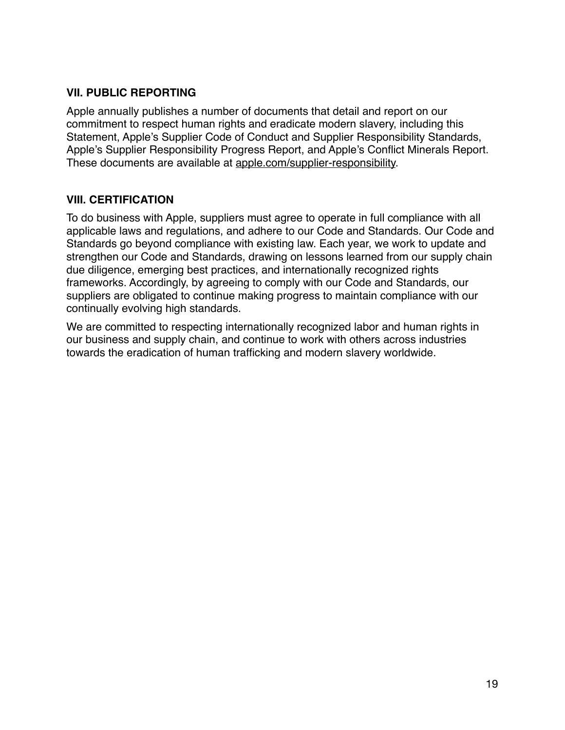# **VII. PUBLIC REPORTING**

Apple annually publishes a number of documents that detail and report on our commitment to respect human rights and eradicate modern slavery, including this Statement, Apple's Supplier Code of Conduct and Supplier Responsibility Standards, Apple's Supplier Responsibility Progress Report, and Apple's Conflict Minerals Report. These documents are available at [apple.com/supplier-responsibility.](http://apple.com/supplier-responsibility)

# **VIII. CERTIFICATION**

To do business with Apple, suppliers must agree to operate in full compliance with all applicable laws and regulations, and adhere to our Code and Standards. Our Code and Standards go beyond compliance with existing law. Each year, we work to update and strengthen our Code and Standards, drawing on lessons learned from our supply chain due diligence, emerging best practices, and internationally recognized rights frameworks. Accordingly, by agreeing to comply with our Code and Standards, our suppliers are obligated to continue making progress to maintain compliance with our continually evolving high standards.

We are committed to respecting internationally recognized labor and human rights in our business and supply chain, and continue to work with others across industries towards the eradication of human trafficking and modern slavery worldwide.